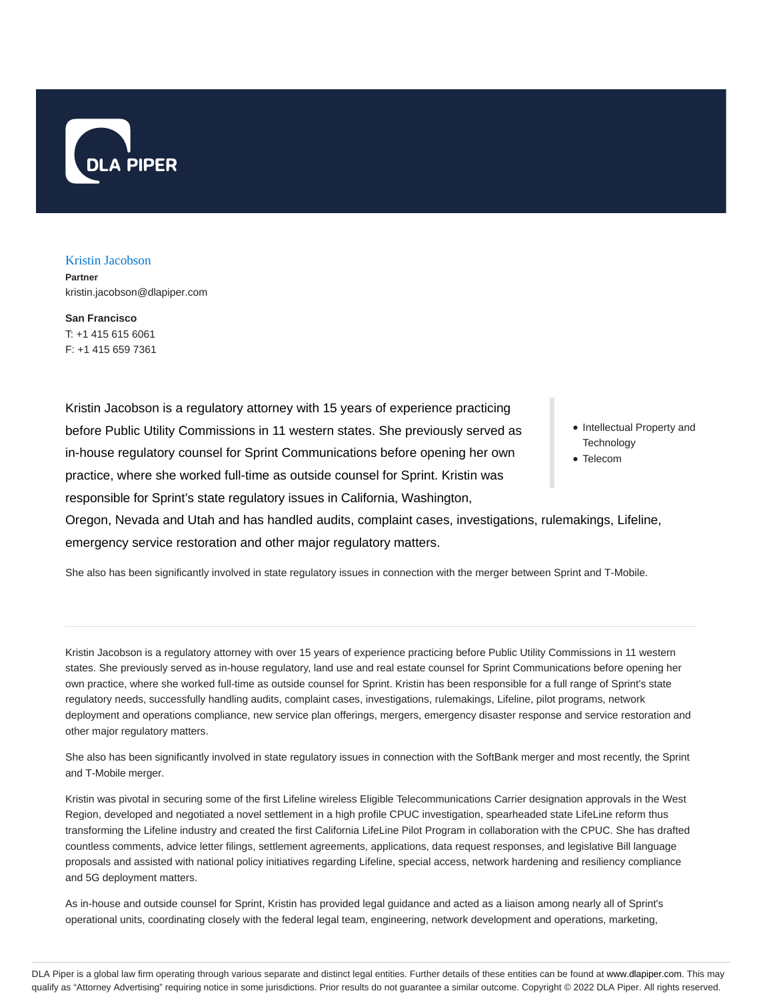

Kristin Jacobson

**Partner** kristin.jacobson@dlapiper.com

**San Francisco** T: +1 415 615 6061 F: +1 415 659 7361

Kristin Jacobson is a regulatory attorney with 15 years of experience practicing before Public Utility Commissions in 11 western states. She previously served as in-house regulatory counsel for Sprint Communications before opening her own practice, where she worked full-time as outside counsel for Sprint. Kristin was responsible for Sprint's state regulatory issues in California, Washington,

- Intellectual Property and **Technology**
- Telecom

Oregon, Nevada and Utah and has handled audits, complaint cases, investigations, rulemakings, Lifeline, emergency service restoration and other major regulatory matters.

She also has been significantly involved in state regulatory issues in connection with the merger between Sprint and T-Mobile.

Kristin Jacobson is a regulatory attorney with over 15 years of experience practicing before Public Utility Commissions in 11 western states. She previously served as in-house regulatory, land use and real estate counsel for Sprint Communications before opening her own practice, where she worked full-time as outside counsel for Sprint. Kristin has been responsible for a full range of Sprint's state regulatory needs, successfully handling audits, complaint cases, investigations, rulemakings, Lifeline, pilot programs, network deployment and operations compliance, new service plan offerings, mergers, emergency disaster response and service restoration and other major regulatory matters.

She also has been significantly involved in state regulatory issues in connection with the SoftBank merger and most recently, the Sprint and T-Mobile merger.

Kristin was pivotal in securing some of the first Lifeline wireless Eligible Telecommunications Carrier designation approvals in the West Region, developed and negotiated a novel settlement in a high profile CPUC investigation, spearheaded state LifeLine reform thus transforming the Lifeline industry and created the first California LifeLine Pilot Program in collaboration with the CPUC. She has drafted countless comments, advice letter filings, settlement agreements, applications, data request responses, and legislative Bill language proposals and assisted with national policy initiatives regarding Lifeline, special access, network hardening and resiliency compliance and 5G deployment matters.

As in-house and outside counsel for Sprint, Kristin has provided legal guidance and acted as a liaison among nearly all of Sprint's operational units, coordinating closely with the federal legal team, engineering, network development and operations, marketing,

DLA Piper is a global law firm operating through various separate and distinct legal entities. Further details of these entities can be found at www.dlapiper.com. This may qualify as "Attorney Advertising" requiring notice in some jurisdictions. Prior results do not guarantee a similar outcome. Copyright © 2022 DLA Piper. All rights reserved.